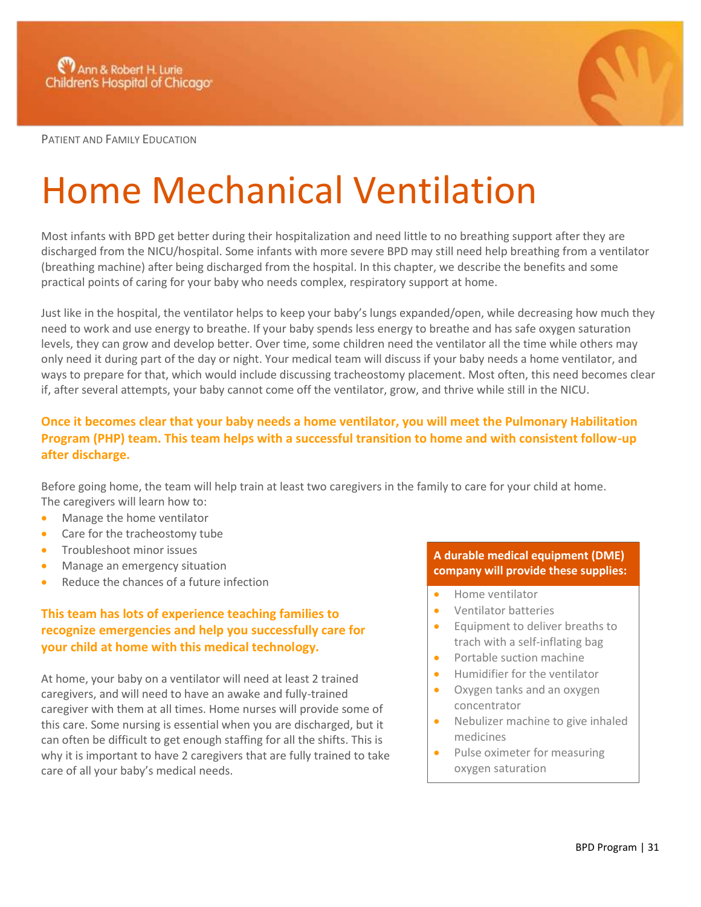

PATIENT AND FAMILY EDUCATION

# Home Mechanical Ventilation

Most infants with BPD get better during their hospitalization and need little to no breathing support after they are discharged from the NICU/hospital. Some infants with more severe BPD may still need help breathing from a ventilator (breathing machine) after being discharged from the hospital. In this chapter, we describe the benefits and some practical points of caring for your baby who needs complex, respiratory support at home.

Just like in the hospital, the ventilator helps to keep your baby's lungs expanded/open, while decreasing how much they need to work and use energy to breathe. If your baby spends less energy to breathe and has safe oxygen saturation levels, they can grow and develop better. Over time, some children need the ventilator all the time while others may only need it during part of the day or night. Your medical team will discuss if your baby needs a home ventilator, and ways to prepare for that, which would include discussing tracheostomy placement. Most often, this need becomes clear if, after several attempts, your baby cannot come off the ventilator, grow, and thrive while still in the NICU.

## **Once it becomes clear that your baby needs a home ventilator, you will meet the Pulmonary Habilitation Program (PHP) team. This team helps with a successful transition to home and with consistent follow-up after discharge.**

Before going home, the team will help train at least two caregivers in the family to care for your child at home. The caregivers will learn how to:

- Manage the home ventilator
- Care for the tracheostomy tube
- **•** Troubleshoot minor issues
- Manage an emergency situation
- Reduce the chances of a future infection

## **This team has lots of experience teaching families to recognize emergencies and help you successfully care for your child at home with this medical technology.**

At home, your baby on a ventilator will need at least 2 trained caregivers, and will need to have an awake and fully-trained caregiver with them at all times. Home nurses will provide some of this care. Some nursing is essential when you are discharged, but it can often be difficult to get enough staffing for all the shifts. This is why it is important to have 2 caregivers that are fully trained to take care of all your baby's medical needs.

#### **A durable medical equipment (DME) company will provide these supplies:**

- Home ventilator
- Ventilator batteries
- Equipment to deliver breaths to trach with a self-inflating bag
- Portable suction machine
- Humidifier for the ventilator
- Oxygen tanks and an oxygen concentrator
- Nebulizer machine to give inhaled medicines
- Pulse oximeter for measuring oxygen saturation